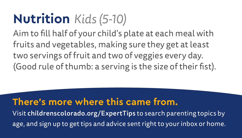## **Nutrition** *Kids (5-10)*

Aim to fill half of your child's plate at each meal with fruits and vegetables, making sure they get at least two servings of fruit and two of veggies every day. (Good rule of thumb: a serving is the size of their fist).

### **There's more where this came from.**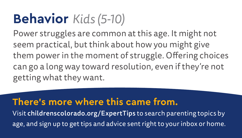## **Behavior** *Kids (5-10)*

Power struggles are common at this age. It might not seem practical, but think about how you might give them power in the moment of struggle. Offering choices can go a long way toward resolution, even if they're not getting what they want.

### **There's more where this came from.**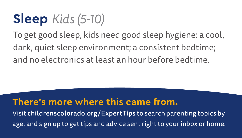## **Sleep** *Kids (5-10)*

To get good sleep, kids need good sleep hygiene: a cool, dark, quiet sleep environment; a consistent bedtime; and no electronics at least an hour before bedtime.

### **There's more where this came from.**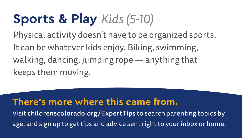## **Sports & Play** *Kids (5-10)*

Physical activity doesn't have to be organized sports. It can be whatever kids enjoy. Biking, swimming, walking, dancing, jumping rope — anything that keeps them moving.

### **There's more where this came from.**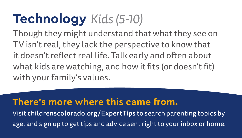# **Technology** *Kids (5-10)*

Though they might understand that what they see on TV isn't real, they lack the perspective to know that it doesn't reflect real life. Talk early and often about what kids are watching, and how it fits (or doesn't fit) with your family's values.

### **There's more where this came from.**